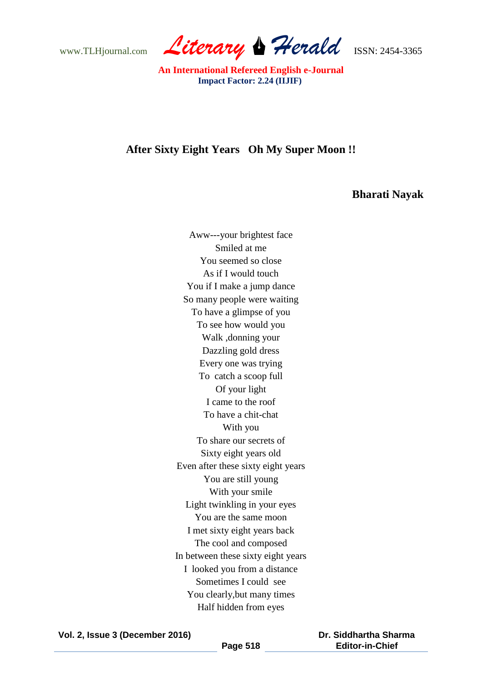www.TLHjournal.com *Literary Herald*ISSN: 2454-3365

 **An International Refereed English e-Journal Impact Factor: 2.24 (IIJIF)**

## **After Sixty Eight Years Oh My Super Moon !!**

## **Bharati Nayak**

Aww---your brightest face Smiled at me You seemed so close As if I would touch You if I make a jump dance So many people were waiting To have a glimpse of you To see how would you Walk ,donning your Dazzling gold dress Every one was trying To catch a scoop full Of your light I came to the roof To have a chit-chat With you To share our secrets of Sixty eight years old Even after these sixty eight years You are still young With your smile Light twinkling in your eyes You are the same moon I met sixty eight years back The cool and composed In between these sixty eight years I looked you from a distance Sometimes I could see You clearly,but many times Half hidden from eyes

**Vol. 2, Issue 3 (December 2016)**

 **Dr. Siddhartha Sharma Editor-in-Chief**